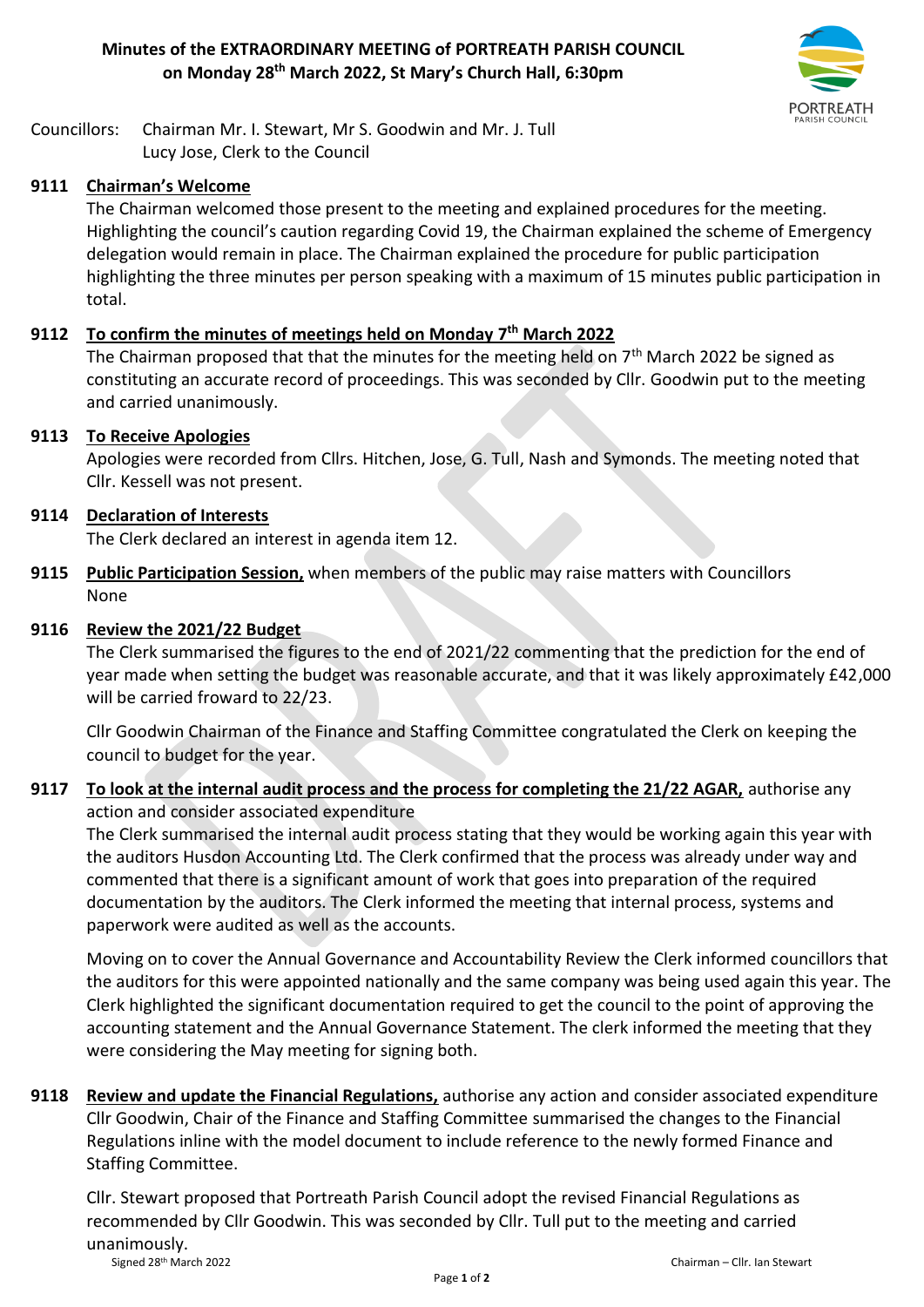

Councillors: Chairman Mr. I. Stewart, Mr S. Goodwin and Mr. J. Tull Lucy Jose, Clerk to the Council

## **9111 Chairman's Welcome**

The Chairman welcomed those present to the meeting and explained procedures for the meeting. Highlighting the council's caution regarding Covid 19, the Chairman explained the scheme of Emergency delegation would remain in place. The Chairman explained the procedure for public participation highlighting the three minutes per person speaking with a maximum of 15 minutes public participation in total.

## **9112 To confirm the minutes of meetings held on Monday 7 th March 2022**

The Chairman proposed that that the minutes for the meeting held on  $7<sup>th</sup>$  March 2022 be signed as constituting an accurate record of proceedings. This was seconded by Cllr. Goodwin put to the meeting and carried unanimously.

#### **9113 To Receive Apologies**

Apologies were recorded from Cllrs. Hitchen, Jose, G. Tull, Nash and Symonds. The meeting noted that Cllr. Kessell was not present.

#### **9114 Declaration of Interests**

The Clerk declared an interest in agenda item 12.

**9115 Public Participation Session,** when members of the public may raise matters with Councillors None

#### **9116 Review the 2021/22 Budget**

The Clerk summarised the figures to the end of 2021/22 commenting that the prediction for the end of year made when setting the budget was reasonable accurate, and that it was likely approximately £42,000 will be carried froward to 22/23.

Cllr Goodwin Chairman of the Finance and Staffing Committee congratulated the Clerk on keeping the council to budget for the year.

## **9117 To look at the internal audit process and the process for completing the 21/22 AGAR,** authorise any action and consider associated expenditure

The Clerk summarised the internal audit process stating that they would be working again this year with the auditors Husdon Accounting Ltd. The Clerk confirmed that the process was already under way and commented that there is a significant amount of work that goes into preparation of the required documentation by the auditors. The Clerk informed the meeting that internal process, systems and paperwork were audited as well as the accounts.

Moving on to cover the Annual Governance and Accountability Review the Clerk informed councillors that the auditors for this were appointed nationally and the same company was being used again this year. The Clerk highlighted the significant documentation required to get the council to the point of approving the accounting statement and the Annual Governance Statement. The clerk informed the meeting that they were considering the May meeting for signing both.

**9118 Review and update the Financial Regulations,** authorise any action and consider associated expenditure Cllr Goodwin, Chair of the Finance and Staffing Committee summarised the changes to the Financial Regulations inline with the model document to include reference to the newly formed Finance and Staffing Committee.

Signed 28th March 2022 Chairman – Cllr. Ian Stewart Cllr. Stewart proposed that Portreath Parish Council adopt the revised Financial Regulations as recommended by Cllr Goodwin. This was seconded by Cllr. Tull put to the meeting and carried unanimously.